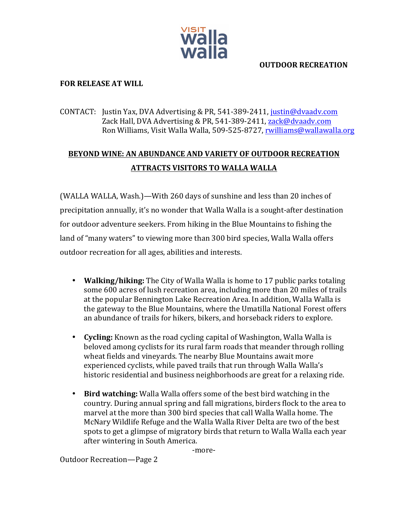

### **OUTDOOR RECREATION**

### **FOR RELEASE AT WILL**

## CONTACT: Justin Yax, DVA Advertising & PR, 541-389-2411, justin@dvaadv.com Zack Hall, DVA Advertising & PR, 541-389-2411, zack@dvaadv.com Ron Williams, Visit Walla Walla, 509-525-8727, rwilliams@wallawalla.org

# **BEYOND WINE: AN ABUNDANCE AND VARIETY OF OUTDOOR RECREATION ATTRACTS VISITORS TO WALLA WALLA**

(WALLA WALLA, Wash.)—With 260 days of sunshine and less than 20 inches of precipitation annually, it's no wonder that Walla Walla is a sought-after destination for outdoor adventure seekers. From hiking in the Blue Mountains to fishing the land of "many waters" to viewing more than 300 bird species, Walla Walla offers outdoor recreation for all ages, abilities and interests.

- **Walking/hiking:** The City of Walla Walla is home to 17 public parks totaling some 600 acres of lush recreation area, including more than 20 miles of trails at the popular Bennington Lake Recreation Area. In addition, Walla Walla is the gateway to the Blue Mountains, where the Umatilla National Forest offers an abundance of trails for hikers, bikers, and horseback riders to explore.
- **Cycling:** Known as the road cycling capital of Washington, Walla Walla is beloved among cyclists for its rural farm roads that meander through rolling wheat fields and vinevards. The nearby Blue Mountains await more experienced cyclists, while paved trails that run through Walla Walla's historic residential and business neighborhoods are great for a relaxing ride.
- **Bird watching:** Walla Walla offers some of the best bird watching in the country. During annual spring and fall migrations, birders flock to the area to marvel at the more than 300 bird species that call Walla Walla home. The McNary Wildlife Refuge and the Walla Walla River Delta are two of the best spots to get a glimpse of migratory birds that return to Walla Walla each year after wintering in South America.

-more-

Outdoor Recreation-Page 2